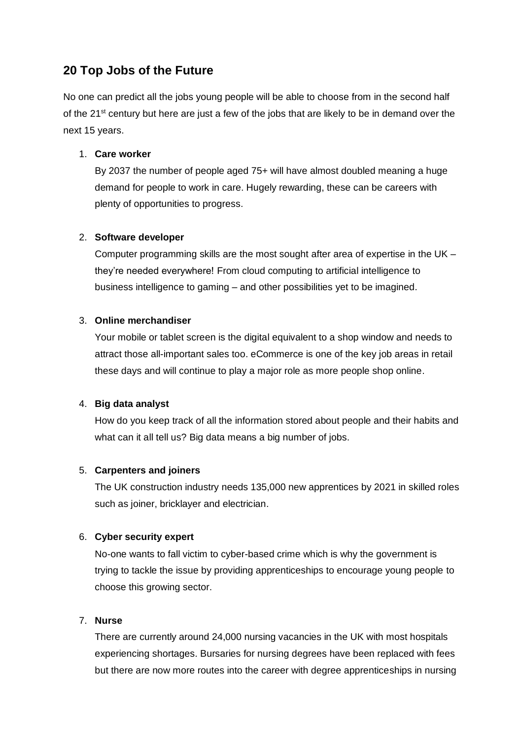# **20 Top Jobs of the Future**

No one can predict all the jobs young people will be able to choose from in the second half of the  $21^{st}$  century but here are just a few of the jobs that are likely to be in demand over the next 15 years.

# 1. **Care worker**

By 2037 the number of people aged 75+ will have almost doubled meaning a huge demand for people to work in care. Hugely rewarding, these can be careers with plenty of opportunities to progress.

# 2. **Software developer**

Computer programming skills are the most sought after area of expertise in the UK – they're needed everywhere! From cloud computing to artificial intelligence to business intelligence to gaming – and other possibilities yet to be imagined.

# 3. **Online merchandiser**

Your mobile or tablet screen is the digital equivalent to a shop window and needs to attract those all-important sales too. eCommerce is one of the key job areas in retail these days and will continue to play a major role as more people shop online.

# 4. **Big data analyst**

How do you keep track of all the information stored about people and their habits and what can it all tell us? Big data means a big number of jobs.

# 5. **Carpenters and joiners**

The UK construction industry needs 135,000 new apprentices by 2021 in skilled roles such as joiner, bricklayer and electrician.

# 6. **Cyber security expert**

No-one wants to fall victim to cyber-based crime which is why the government is trying to tackle the issue by providing apprenticeships to encourage young people to choose this growing sector.

# 7. **Nurse**

There are currently around 24,000 nursing vacancies in the UK with most hospitals experiencing shortages. Bursaries for nursing degrees have been replaced with fees but there are now more routes into the career with degree apprenticeships in nursing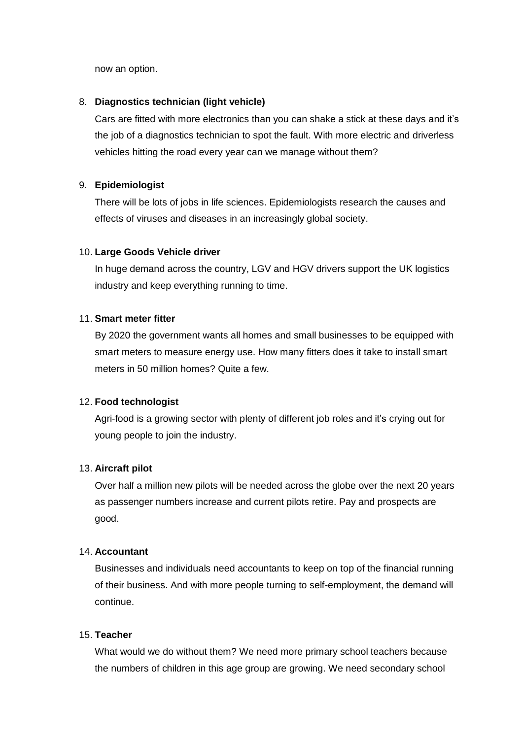now an option.

#### 8. **Diagnostics technician (light vehicle)**

Cars are fitted with more electronics than you can shake a stick at these days and it's the job of a diagnostics technician to spot the fault. With more electric and driverless vehicles hitting the road every year can we manage without them?

### 9. **Epidemiologist**

There will be lots of jobs in life sciences. Epidemiologists research the causes and effects of viruses and diseases in an increasingly global society.

#### 10. **Large Goods Vehicle driver**

In huge demand across the country, LGV and HGV drivers support the UK logistics industry and keep everything running to time.

#### 11. **Smart meter fitter**

By 2020 the government wants all homes and small businesses to be equipped with smart meters to measure energy use. How many fitters does it take to install smart meters in 50 million homes? Quite a few.

#### 12. **Food technologist**

Agri-food is a growing sector with plenty of different job roles and it's crying out for young people to join the industry.

### 13. **Aircraft pilot**

Over half a million new pilots will be needed across the globe over the next 20 years as passenger numbers increase and current pilots retire. Pay and prospects are good.

### 14. **Accountant**

Businesses and individuals need accountants to keep on top of the financial running of their business. And with more people turning to self-employment, the demand will continue.

### 15. **Teacher**

What would we do without them? We need more primary school teachers because the numbers of children in this age group are growing. We need secondary school